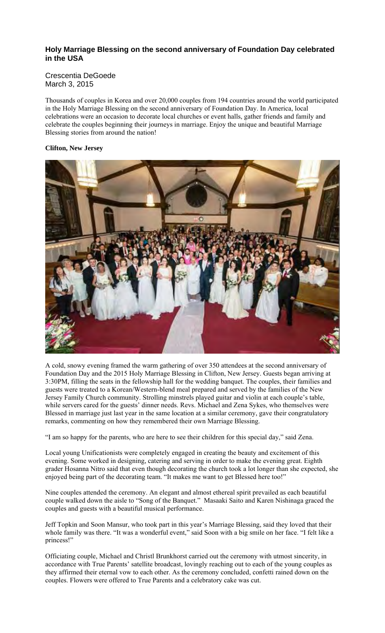# **Holy Marriage Blessing on the second anniversary of Foundation Day celebrated in the USA**

### Crescentia DeGoede March 3, 2015

Thousands of couples in Korea and over 20,000 couples from 194 countries around the world participated in the Holy Marriage Blessing on the second anniversary of Foundation Day. In America, local celebrations were an occasion to decorate local churches or event halls, gather friends and family and celebrate the couples beginning their journeys in marriage. Enjoy the unique and beautiful Marriage Blessing stories from around the nation!

# **Clifton, New Jersey**



A cold, snowy evening framed the warm gathering of over 350 attendees at the second anniversary of Foundation Day and the 2015 Holy Marriage Blessing in Clifton, New Jersey. Guests began arriving at 3:30PM, filling the seats in the fellowship hall for the wedding banquet. The couples, their families and guests were treated to a Korean/Western-blend meal prepared and served by the families of the New Jersey Family Church community. Strolling minstrels played guitar and violin at each couple's table, while servers cared for the guests' dinner needs. Revs. Michael and Zena Sykes, who themselves were Blessed in marriage just last year in the same location at a similar ceremony, gave their congratulatory remarks, commenting on how they remembered their own Marriage Blessing.

"I am so happy for the parents, who are here to see their children for this special day," said Zena.

Local young Unificationists were completely engaged in creating the beauty and excitement of this evening. Some worked in designing, catering and serving in order to make the evening great. Eighth grader Hosanna Nitro said that even though decorating the church took a lot longer than she expected, she enjoyed being part of the decorating team. "It makes me want to get Blessed here too!"

Nine couples attended the ceremony. An elegant and almost ethereal spirit prevailed as each beautiful couple walked down the aisle to "Song of the Banquet." Masaaki Saito and Karen Nishinaga graced the couples and guests with a beautiful musical performance.

Jeff Topkin and Soon Mansur, who took part in this year's Marriage Blessing, said they loved that their whole family was there. "It was a wonderful event," said Soon with a big smile on her face. "I felt like a princess!"

Officiating couple, Michael and Christl Brunkhorst carried out the ceremony with utmost sincerity, in accordance with True Parents' satellite broadcast, lovingly reaching out to each of the young couples as they affirmed their eternal vow to each other. As the ceremony concluded, confetti rained down on the couples. Flowers were offered to True Parents and a celebratory cake was cut.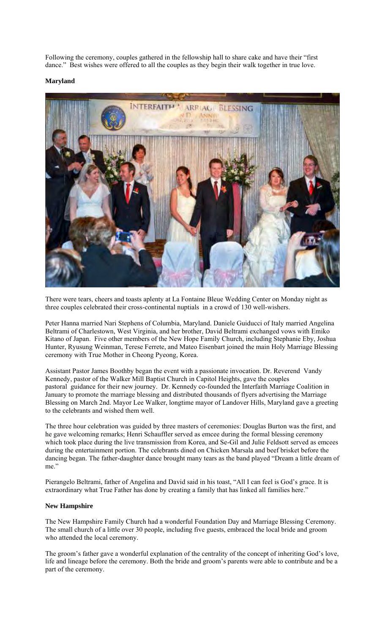Following the ceremony, couples gathered in the fellowship hall to share cake and have their "first dance." Best wishes were offered to all the couples as they begin their walk together in true love.

### **Maryland**



There were tears, cheers and toasts aplenty at La Fontaine Bleue Wedding Center on Monday night as three couples celebrated their cross-continental nuptials in a crowd of 130 well-wishers.

Peter Hanna married Nari Stephens of Columbia, Maryland. Daniele Guiducci of Italy married Angelina Beltrami of Charlestown, West Virginia, and her brother, David Beltrami exchanged vows with Emiko Kitano of Japan. Five other members of the New Hope Family Church, including Stephanie Eby, Joshua Hunter, Ryusung Weinman, Terese Ferrete, and Mateo Eisenbart joined the main Holy Marriage Blessing ceremony with True Mother in Cheong Pyeong, Korea.

Assistant Pastor James Boothby began the event with a passionate invocation. Dr. Reverend Vandy Kennedy, pastor of the Walker Mill Baptist Church in Capitol Heights, gave the couples pastoral guidance for their new journey. Dr. Kennedy co-founded the Interfaith Marriage Coalition in January to promote the marriage blessing and distributed thousands of flyers advertising the Marriage Blessing on March 2nd. Mayor Lee Walker, longtime mayor of Landover Hills, Maryland gave a greeting to the celebrants and wished them well.

The three hour celebration was guided by three masters of ceremonies: Douglas Burton was the first, and he gave welcoming remarks; Henri Schauffler served as emcee during the formal blessing ceremony which took place during the live transmission from Korea, and Se-Gil and Julie Feldsott served as emcees during the entertainment portion. The celebrants dined on Chicken Marsala and beef brisket before the dancing began. The father-daughter dance brought many tears as the band played "Dream a little dream of me."

Pierangelo Beltrami, father of Angelina and David said in his toast, "All I can feel is God's grace. It is extraordinary what True Father has done by creating a family that has linked all families here."

#### **New Hampshire**

The New Hampshire Family Church had a wonderful Foundation Day and Marriage Blessing Ceremony. The small church of a little over 30 people, including five guests, embraced the local bride and groom who attended the local ceremony.

The groom's father gave a wonderful explanation of the centrality of the concept of inheriting God's love, life and lineage before the ceremony. Both the bride and groom's parents were able to contribute and be a part of the ceremony.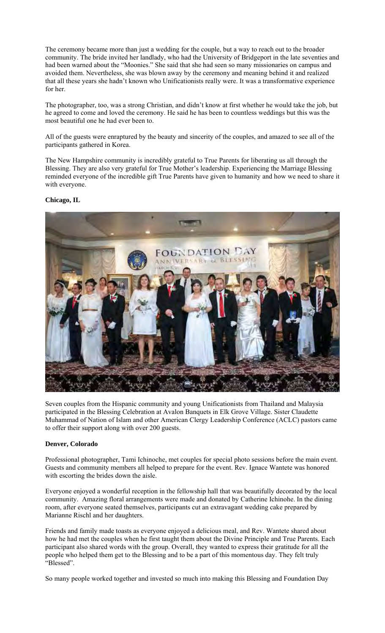The ceremony became more than just a wedding for the couple, but a way to reach out to the broader community. The bride invited her landlady, who had the University of Bridgeport in the late seventies and had been warned about the "Moonies." She said that she had seen so many missionaries on campus and avoided them. Nevertheless, she was blown away by the ceremony and meaning behind it and realized that all these years she hadn't known who Unificationists really were. It was a transformative experience for her.

The photographer, too, was a strong Christian, and didn't know at first whether he would take the job, but he agreed to come and loved the ceremony. He said he has been to countless weddings but this was the most beautiful one he had ever been to.

All of the guests were enraptured by the beauty and sincerity of the couples, and amazed to see all of the participants gathered in Korea.

The New Hampshire community is incredibly grateful to True Parents for liberating us all through the Blessing. They are also very grateful for True Mother's leadership. Experiencing the Marriage Blessing reminded everyone of the incredible gift True Parents have given to humanity and how we need to share it with everyone.

### **Chicago, IL**



Seven couples from the Hispanic community and young Unificationists from Thailand and Malaysia participated in the Blessing Celebration at Avalon Banquets in Elk Grove Village. Sister Claudette Muhammad of Nation of Islam and other American Clergy Leadership Conference (ACLC) pastors came to offer their support along with over 200 guests.

#### **Denver, Colorado**

Professional photographer, Tami Ichinoche, met couples for special photo sessions before the main event. Guests and community members all helped to prepare for the event. Rev. Ignace Wantete was honored with escorting the brides down the aisle.

Everyone enjoyed a wonderful reception in the fellowship hall that was beautifully decorated by the local community. Amazing floral arrangements were made and donated by Catherine Ichinohe. In the dining room, after everyone seated themselves, participants cut an extravagant wedding cake prepared by Marianne Rischl and her daughters.

Friends and family made toasts as everyone enjoyed a delicious meal, and Rev. Wantete shared about how he had met the couples when he first taught them about the Divine Principle and True Parents. Each participant also shared words with the group. Overall, they wanted to express their gratitude for all the people who helped them get to the Blessing and to be a part of this momentous day. They felt truly "Blessed".

So many people worked together and invested so much into making this Blessing and Foundation Day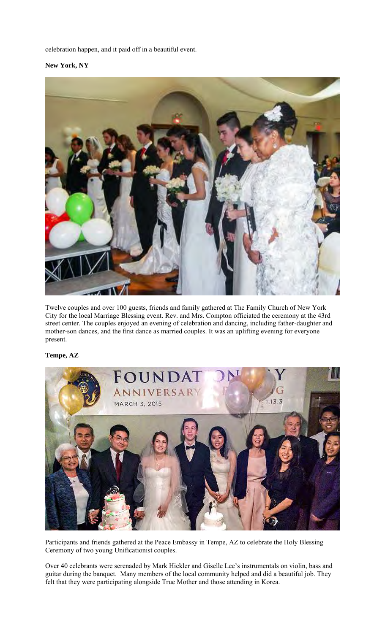celebration happen, and it paid off in a beautiful event.

**New York, NY** 



Twelve couples and over 100 guests, friends and family gathered at The Family Church of New York City for the local Marriage Blessing event. Rev. and Mrs. Compton officiated the ceremony at the 43rd street center. The couples enjoyed an evening of celebration and dancing, including father-daughter and mother-son dances, and the first dance as married couples. It was an uplifting evening for everyone present.

## **Tempe, AZ**



Participants and friends gathered at the Peace Embassy in Tempe, AZ to celebrate the Holy Blessing Ceremony of two young Unificationist couples.

Over 40 celebrants were serenaded by Mark Hickler and Giselle Lee's instrumentals on violin, bass and guitar during the banquet. Many members of the local community helped and did a beautiful job. They felt that they were participating alongside True Mother and those attending in Korea.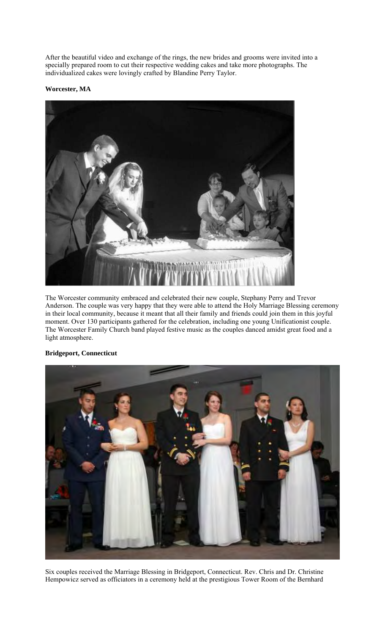After the beautiful video and exchange of the rings, the new brides and grooms were invited into a specially prepared room to cut their respective wedding cakes and take more photographs. The individualized cakes were lovingly crafted by Blandine Perry Taylor.

**Worcester, MA** 



The Worcester community embraced and celebrated their new couple, Stephany Perry and Trevor Anderson. The couple was very happy that they were able to attend the Holy Marriage Blessing ceremony in their local community, because it meant that all their family and friends could join them in this joyful moment. Over 130 participants gathered for the celebration, including one young Unificationist couple. The Worcester Family Church band played festive music as the couples danced amidst great food and a light atmosphere.

## **Bridgeport, Connecticut**



Six couples received the Marriage Blessing in Bridgeport, Connecticut. Rev. Chris and Dr. Christine Hempowicz served as officiators in a ceremony held at the prestigious Tower Room of the Bernhard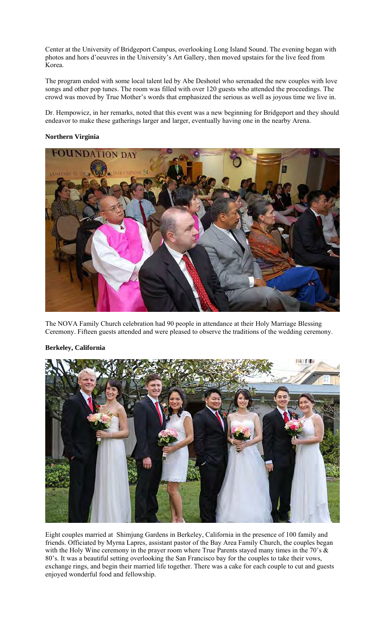Center at the University of Bridgeport Campus, overlooking Long Island Sound. The evening began with photos and hors d'oeuvres in the University's Art Gallery, then moved upstairs for the live feed from Korea.

The program ended with some local talent led by Abe Deshotel who serenaded the new couples with love songs and other pop tunes. The room was filled with over 120 guests who attended the proceedings. The crowd was moved by True Mother's words that emphasized the serious as well as joyous time we live in.

Dr. Hempowicz, in her remarks, noted that this event was a new beginning for Bridgeport and they should endeavor to make these gatherings larger and larger, eventually having one in the nearby Arena.

### **Northern Virginia**



The NOVA Family Church celebration had 90 people in attendance at their Holy Marriage Blessing Ceremony. Fifteen guests attended and were pleased to observe the traditions of the wedding ceremony.



## **Berkeley, California**

Eight couples married at Shimjung Gardens in Berkeley, California in the presence of 100 family and friends. Officiated by Myrna Lapres, assistant pastor of the Bay Area Family Church, the couples began with the Holy Wine ceremony in the prayer room where True Parents stayed many times in the 70's & 80's. It was a beautiful setting overlooking the San Francisco bay for the couples to take their vows, exchange rings, and begin their married life together. There was a cake for each couple to cut and guests enjoyed wonderful food and fellowship.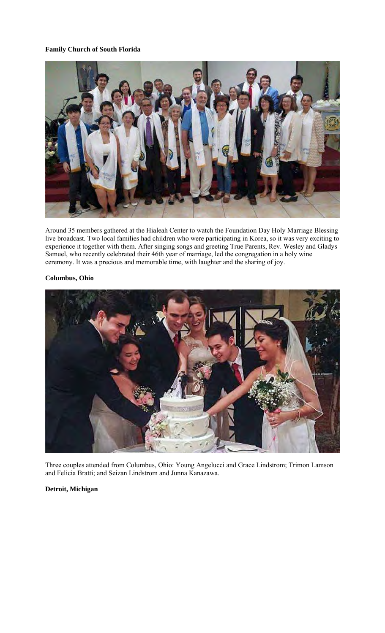## **Family Church of South Florida**



Around 35 members gathered at the Hialeah Center to watch the Foundation Day Holy Marriage Blessing live broadcast. Two local families had children who were participating in Korea, so it was very exciting to experience it together with them. After singing songs and greeting True Parents, Rev. Wesley and Gladys Samuel, who recently celebrated their 46th year of marriage, led the congregation in a holy wine ceremony. It was a precious and memorable time, with laughter and the sharing of joy.

### **Columbus, Ohio**



Three couples attended from Columbus, Ohio: Young Angelucci and Grace Lindstrom; Trimon Lamson and Felicia Bratti; and Seizan Lindstrom and Junna Kanazawa.

### **Detroit, Michigan**